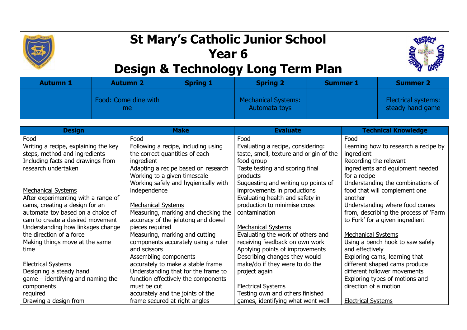

## **St Mary's Catholic Junior School Year 6**



## **Design & Technology Long Term Plan**

| <b>Autumn 1</b> | <b>Autumn 2</b>              | <b>Spring 1</b> | <b>Spring 2</b>                      | <b>Summer 1</b> | <b>Summer 2</b>                         |
|-----------------|------------------------------|-----------------|--------------------------------------|-----------------|-----------------------------------------|
|                 | Food: Come dine with  <br>me |                 | Mechanical Systems:<br>Automata toys |                 | Electrical systems:<br>steady hand game |

| <b>Design</b>                        | <b>Make</b>                          | <b>Evaluate</b>                         | <b>Technical Knowledge</b>            |
|--------------------------------------|--------------------------------------|-----------------------------------------|---------------------------------------|
| Food                                 | Food                                 | Food                                    | Food                                  |
| Writing a recipe, explaining the key | Following a recipe, including using  | Evaluating a recipe, considering:       | Learning how to research a recipe by  |
| steps, method and ingredients        | the correct quantities of each       | taste, smell, texture and origin of the | ingredient                            |
| Including facts and drawings from    | ingredient                           | food group                              | Recording the relevant                |
| research undertaken                  | Adapting a recipe based on research  | Taste testing and scoring final         | ingredients and equipment needed      |
|                                      | Working to a given timescale         | products                                | for a recipe                          |
|                                      | Working safely and hygienically with | Suggesting and writing up points of     | Understanding the combinations of     |
| <b>Mechanical Systems</b>            | independence                         | improvements in productions             | food that will complement one         |
| After experimenting with a range of  |                                      | Evaluating health and safety in         | another                               |
| cams, creating a design for an       | <b>Mechanical Systems</b>            | production to minimise cross            | Understanding where food comes        |
| automata toy based on a choice of    | Measuring, marking and checking the  | contamination                           | from, describing the process of 'Farm |
| cam to create a desired movement     | accuracy of the jelutong and dowel   |                                         | to Fork' for a given ingredient       |
| Understanding how linkages change    | pieces required                      | <b>Mechanical Systems</b>               |                                       |
| the direction of a force             | Measuring, marking and cutting       | Evaluating the work of others and       | <b>Mechanical Systems</b>             |
| Making things move at the same       | components accurately using a ruler  | receiving feedback on own work          | Using a bench hook to saw safely      |
| time                                 | and scissors                         | Applying points of improvements         | and effectively                       |
|                                      | Assembling components                | Describing changes they would           | Exploring cams, learning that         |
| <b>Electrical Systems</b>            | accurately to make a stable frame    | make/do if they were to do the          | different shaped cams produce         |
| Designing a steady hand              | Understanding that for the frame to  | project again                           | different follower movements          |
| $game$ – identifying and naming the  | function effectively the components  |                                         | Exploring types of motions and        |
| components                           | must be cut                          | <b>Electrical Systems</b>               | direction of a motion                 |
| required                             | accurately and the joints of the     | Testing own and others finished         |                                       |
| Drawing a design from                | frame secured at right angles        | games, identifying what went well       | <b>Electrical Systems</b>             |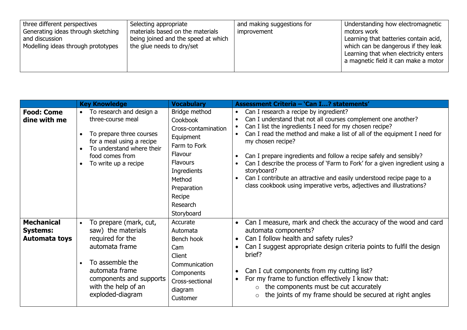| three different perspectives<br>Selecting appropriate<br>materials based on the materials<br>Generating ideas through sketching<br>being joined and the speed at which<br>and discussion<br>the glue needs to dry/set<br>Modelling ideas through prototypes | and making suggestions for<br>improvement | Understanding how electromagnetic<br>motors work<br>Learning that batteries contain acid,<br>which can be dangerous if they leak<br>Learning that when electricity enters<br>a magnetic field it can make a motor |
|-------------------------------------------------------------------------------------------------------------------------------------------------------------------------------------------------------------------------------------------------------------|-------------------------------------------|-------------------------------------------------------------------------------------------------------------------------------------------------------------------------------------------------------------------|
|-------------------------------------------------------------------------------------------------------------------------------------------------------------------------------------------------------------------------------------------------------------|-------------------------------------------|-------------------------------------------------------------------------------------------------------------------------------------------------------------------------------------------------------------------|

|                                                              | <b>Key Knowledge</b>                                                                                                                                                                                     | <b>Vocabulary</b>                                                                                                                                                                       | <b>Assessment Criteria - 'Can I? statements'</b>                                                                                                                                                                                                                                                                                                                                                                                                                                                                                                                                                      |
|--------------------------------------------------------------|----------------------------------------------------------------------------------------------------------------------------------------------------------------------------------------------------------|-----------------------------------------------------------------------------------------------------------------------------------------------------------------------------------------|-------------------------------------------------------------------------------------------------------------------------------------------------------------------------------------------------------------------------------------------------------------------------------------------------------------------------------------------------------------------------------------------------------------------------------------------------------------------------------------------------------------------------------------------------------------------------------------------------------|
| <b>Food: Come</b><br>dine with me                            | To research and design a<br>$\bullet$<br>three-course meal<br>To prepare three courses<br>for a meal using a recipe<br>To understand where their<br>food comes from<br>To write up a recipe<br>$\bullet$ | Bridge method<br>Cookbook<br>Cross-contamination<br>Equipment<br>Farm to Fork<br>Flavour<br><b>Flavours</b><br>Ingredients<br>Method<br>Preparation<br>Recipe<br>Research<br>Storyboard | Can I research a recipe by ingredient?<br>$\bullet$<br>Can I understand that not all courses complement one another?<br>Can I list the ingredients I need for my chosen recipe?<br>Can I read the method and make a list of all of the equipment I need for<br>my chosen recipe?<br>Can I prepare ingredients and follow a recipe safely and sensibly?<br>Can I describe the process of 'Farm to Fork' for a given ingredient using a<br>storyboard?<br>Can I contribute an attractive and easily understood recipe page to a<br>class cookbook using imperative verbs, adjectives and illustrations? |
| <b>Mechanical</b><br><b>Systems:</b><br><b>Automata toys</b> | To prepare (mark, cut,<br>saw) the materials<br>required for the<br>automata frame<br>To assemble the<br>automata frame<br>components and supports<br>with the help of an<br>exploded-diagram            | Accurate<br>Automata<br>Bench hook<br>Cam<br><b>Client</b><br>Communication<br>Components<br>Cross-sectional<br>diagram<br>Customer                                                     | Can I measure, mark and check the accuracy of the wood and card<br>automata components?<br>Can I follow health and safety rules?<br>Can I suggest appropriate design criteria points to fulfil the design<br>brief?<br>Can I cut components from my cutting list?<br>For my frame to function effectively I know that:<br>the components must be cut accurately<br>$\circ$<br>the joints of my frame should be secured at right angles<br>$\circ$                                                                                                                                                     |